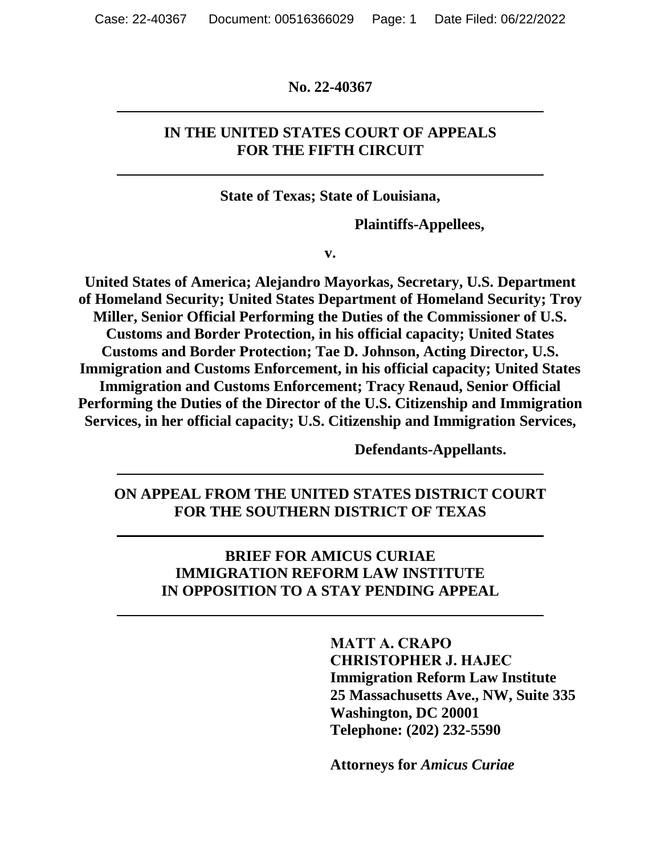**No. 22-40367**

## **IN THE UNITED STATES COURT OF APPEALS FOR THE FIFTH CIRCUIT**

**State of Texas; State of Louisiana,**

**Plaintiffs-Appellees,**

**v.**

**United States of America; Alejandro Mayorkas, Secretary, U.S. Department of Homeland Security; United States Department of Homeland Security; Troy Miller, Senior Official Performing the Duties of the Commissioner of U.S. Customs and Border Protection, in his official capacity; United States Customs and Border Protection; Tae D. Johnson, Acting Director, U.S. Immigration and Customs Enforcement, in his official capacity; United States Immigration and Customs Enforcement; Tracy Renaud, Senior Official Performing the Duties of the Director of the U.S. Citizenship and Immigration Services, in her official capacity; U.S. Citizenship and Immigration Services,**

**Defendants-Appellants.**

**ON APPEAL FROM THE UNITED STATES DISTRICT COURT FOR THE SOUTHERN DISTRICT OF TEXAS**

> **BRIEF FOR AMICUS CURIAE IMMIGRATION REFORM LAW INSTITUTE IN OPPOSITION TO A STAY PENDING APPEAL**

> > **MATT A. CRAPO CHRISTOPHER J. HAJEC Immigration Reform Law Institute 25 Massachusetts Ave., NW, Suite 335 Washington, DC 20001 Telephone: (202) 232-5590**

**Attorneys for** *Amicus Curiae*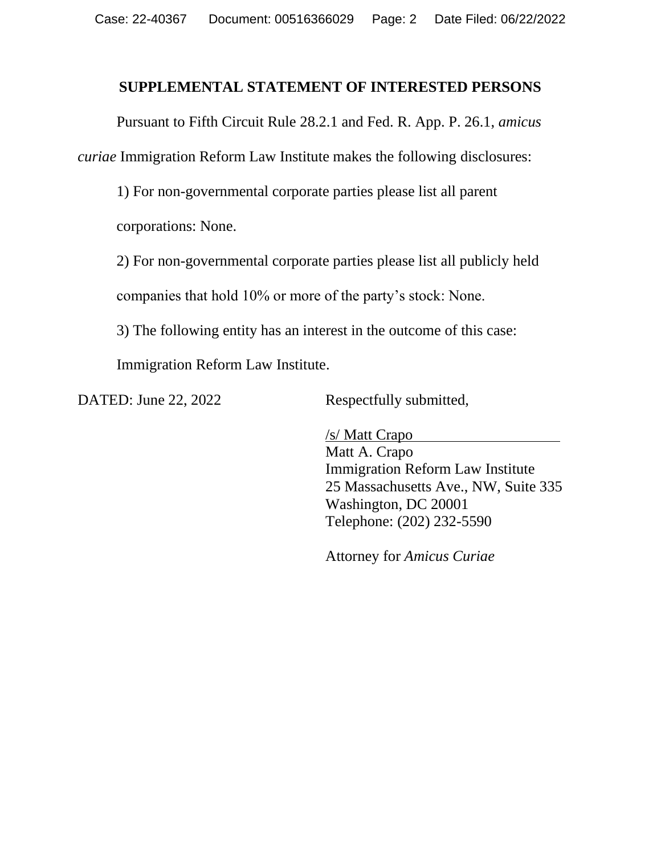#### **SUPPLEMENTAL STATEMENT OF INTERESTED PERSONS**

Pursuant to Fifth Circuit Rule 28.2.1 and Fed. R. App. P. 26.1, *amicus curiae* Immigration Reform Law Institute makes the following disclosures:

1) For non-governmental corporate parties please list all parent

corporations: None.

2) For non-governmental corporate parties please list all publicly held

companies that hold 10% or more of the party's stock: None.

3) The following entity has an interest in the outcome of this case:

Immigration Reform Law Institute.

DATED: June 22, 2022 Respectfully submitted,

/s/ Matt Crapo Matt A. Crapo Immigration Reform Law Institute 25 Massachusetts Ave., NW, Suite 335 Washington, DC 20001 Telephone: (202) 232-5590

Attorney for *Amicus Curiae*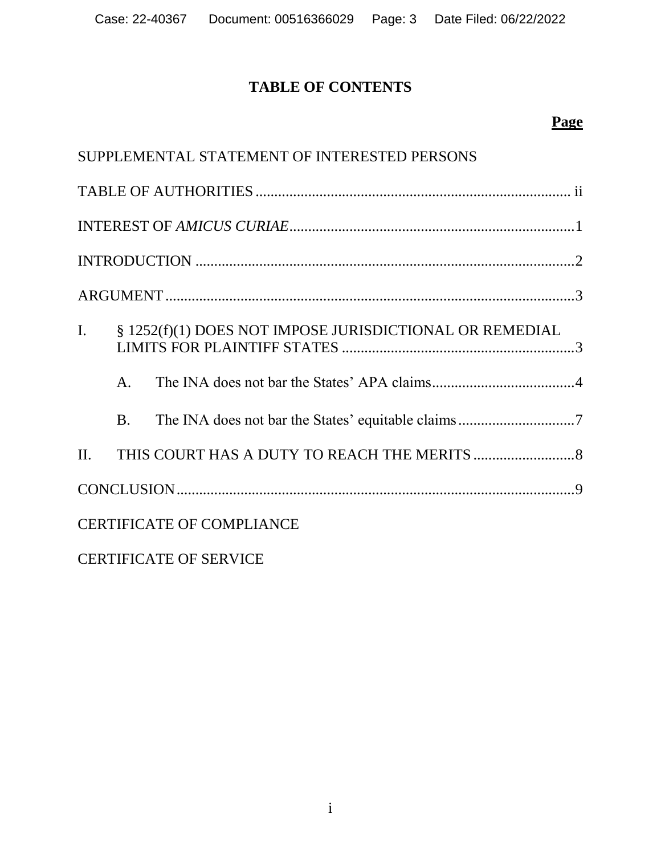# **TABLE OF CONTENTS**

## **Page**

| SUPPLEMENTAL STATEMENT OF INTERESTED PERSONS |           |                                                         |  |  |  |  |
|----------------------------------------------|-----------|---------------------------------------------------------|--|--|--|--|
|                                              |           |                                                         |  |  |  |  |
|                                              |           |                                                         |  |  |  |  |
|                                              |           |                                                         |  |  |  |  |
|                                              |           |                                                         |  |  |  |  |
| $I_{\cdot}$                                  |           | § 1252(f)(1) DOES NOT IMPOSE JURISDICTIONAL OR REMEDIAL |  |  |  |  |
|                                              | $A_{1}$   |                                                         |  |  |  |  |
|                                              | <b>B.</b> |                                                         |  |  |  |  |
|                                              |           |                                                         |  |  |  |  |
|                                              |           |                                                         |  |  |  |  |
| <b>CERTIFICATE OF COMPLIANCE</b>             |           |                                                         |  |  |  |  |

CERTIFICATE OF SERVICE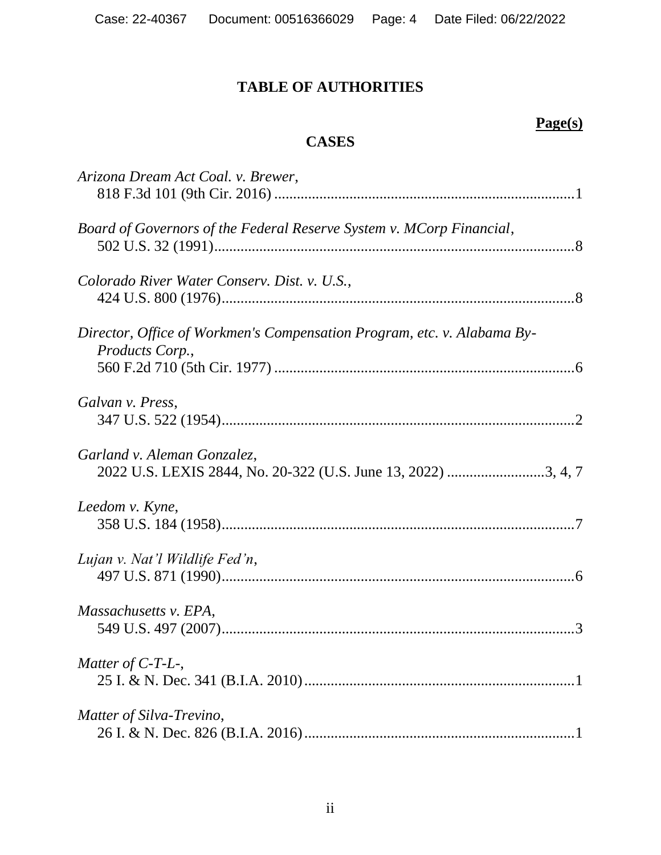# **TABLE OF AUTHORITIES**

# **Page(s)**

# **CASES**

| Arizona Dream Act Coal. v. Brewer,                                                         |
|--------------------------------------------------------------------------------------------|
| Board of Governors of the Federal Reserve System v. MCorp Financial,                       |
| Colorado River Water Conserv. Dist. v. U.S.,                                               |
| Director, Office of Workmen's Compensation Program, etc. v. Alabama By-<br>Products Corp., |
| Galvan v. Press,                                                                           |
| Garland v. Aleman Gonzalez,                                                                |
| Leedom v. Kyne,                                                                            |
| Lujan v. Nat'l Wildlife Fed'n,                                                             |
| Massachusetts v. EPA,                                                                      |
| Matter of $C$ -T-L-,                                                                       |
| Matter of Silva-Trevino,                                                                   |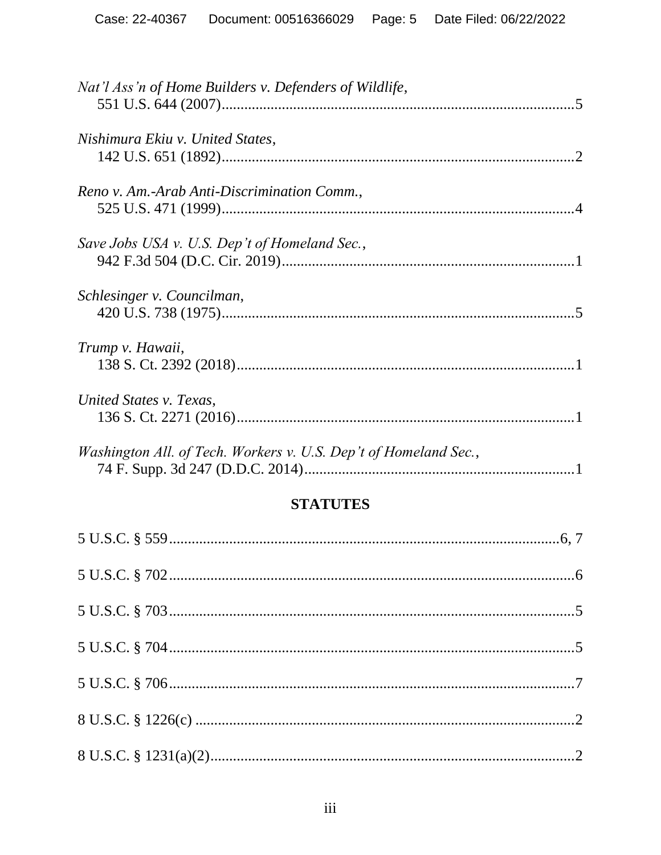| Nat'l Ass'n of Home Builders v. Defenders of Wildlife,           |  |
|------------------------------------------------------------------|--|
| Nishimura Ekiu v. United States,                                 |  |
| Reno v. Am.-Arab Anti-Discrimination Comm.,                      |  |
| Save Jobs USA v. U.S. Dep't of Homeland Sec.,                    |  |
| Schlesinger v. Councilman,                                       |  |
| Trump v. Hawaii,                                                 |  |
| United States v. Texas,                                          |  |
| Washington All. of Tech. Workers v. U.S. Dep't of Homeland Sec., |  |
|                                                                  |  |

## **STATUTES**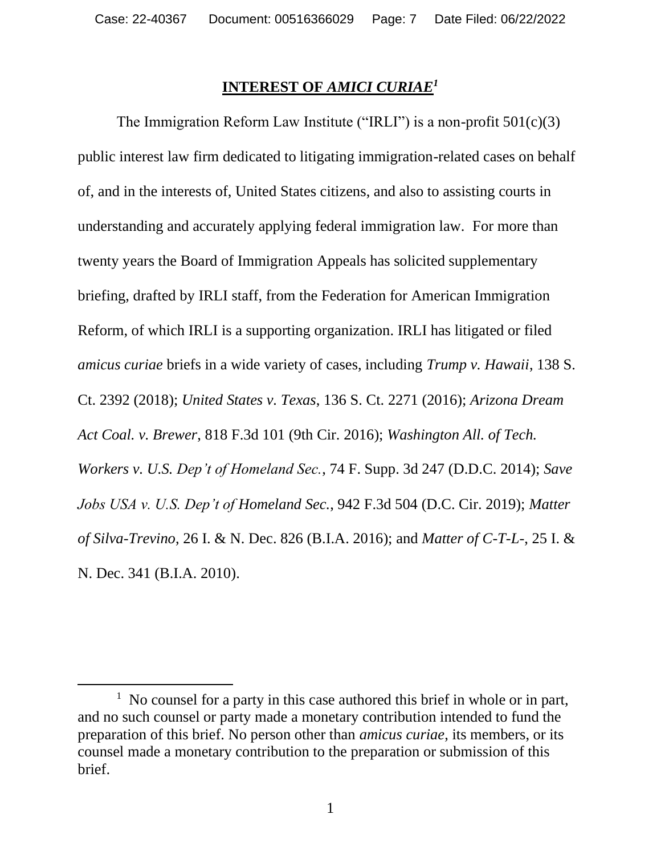### **INTEREST OF** *AMICI CURIAE<sup>1</sup>*

The Immigration Reform Law Institute ("IRLI") is a non-profit  $501(c)(3)$ public interest law firm dedicated to litigating immigration-related cases on behalf of, and in the interests of, United States citizens, and also to assisting courts in understanding and accurately applying federal immigration law. For more than twenty years the Board of Immigration Appeals has solicited supplementary briefing, drafted by IRLI staff, from the Federation for American Immigration Reform, of which IRLI is a supporting organization. IRLI has litigated or filed *amicus curiae* briefs in a wide variety of cases, including *Trump v. Hawaii*, 138 S. Ct. 2392 (2018); *United States v. Texas*, 136 S. Ct. 2271 (2016); *Arizona Dream Act Coal. v. Brewer*, 818 F.3d 101 (9th Cir. 2016); *Washington All. of Tech. Workers v. U.S. Dep't of Homeland Sec.*, 74 F. Supp. 3d 247 (D.D.C. 2014); *Save Jobs USA v. U.S. Dep't of Homeland Sec.*, 942 F.3d 504 (D.C. Cir. 2019); *Matter of Silva-Trevino*, 26 I. & N. Dec. 826 (B.I.A. 2016); and *Matter of C-T-L-*, 25 I. & N. Dec. 341 (B.I.A. 2010).

<sup>&</sup>lt;sup>1</sup> No counsel for a party in this case authored this brief in whole or in part, and no such counsel or party made a monetary contribution intended to fund the preparation of this brief. No person other than *amicus curiae*, its members, or its counsel made a monetary contribution to the preparation or submission of this brief.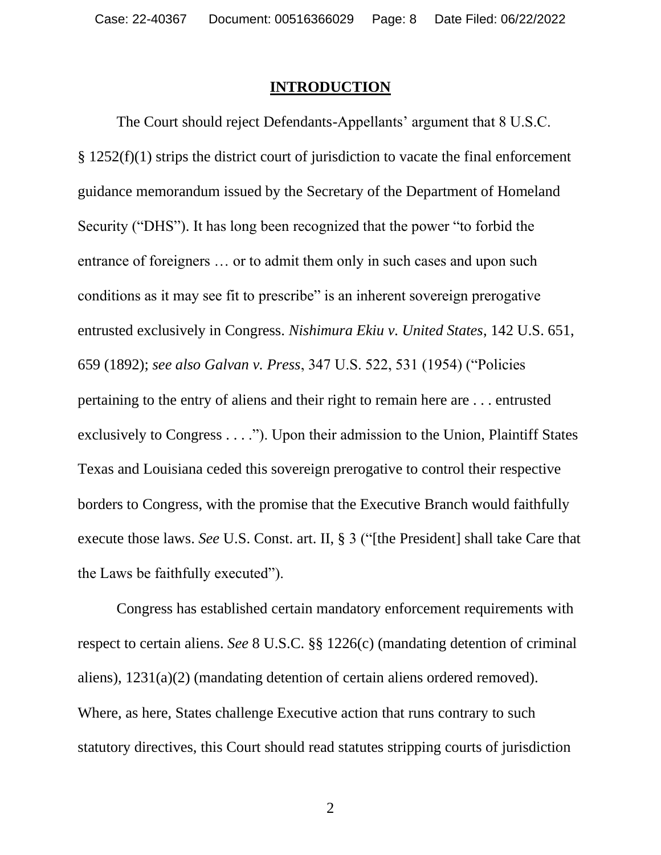#### **INTRODUCTION**

The Court should reject Defendants-Appellants' argument that 8 U.S.C. § 1252(f)(1) strips the district court of jurisdiction to vacate the final enforcement guidance memorandum issued by the Secretary of the Department of Homeland Security ("DHS"). It has long been recognized that the power "to forbid the entrance of foreigners … or to admit them only in such cases and upon such conditions as it may see fit to prescribe" is an inherent sovereign prerogative entrusted exclusively in Congress. *Nishimura Ekiu v. United States*, 142 U.S. 651, 659 (1892); *see also Galvan v. Press*, 347 U.S. 522, 531 (1954) ("Policies pertaining to the entry of aliens and their right to remain here are . . . entrusted exclusively to Congress . . . ."). Upon their admission to the Union, Plaintiff States Texas and Louisiana ceded this sovereign prerogative to control their respective borders to Congress, with the promise that the Executive Branch would faithfully execute those laws. *See* U.S. Const. art. II, § 3 ("[the President] shall take Care that the Laws be faithfully executed").

Congress has established certain mandatory enforcement requirements with respect to certain aliens. *See* 8 U.S.C. §§ 1226(c) (mandating detention of criminal aliens), 1231(a)(2) (mandating detention of certain aliens ordered removed). Where, as here, States challenge Executive action that runs contrary to such statutory directives, this Court should read statutes stripping courts of jurisdiction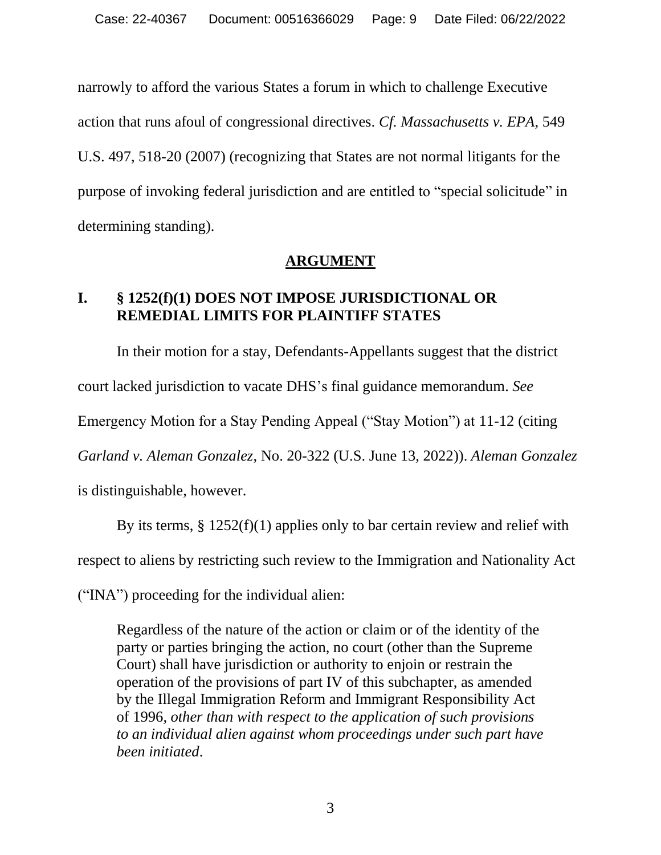narrowly to afford the various States a forum in which to challenge Executive action that runs afoul of congressional directives. *Cf. Massachusetts v. EPA*, 549 U.S. 497, 518-20 (2007) (recognizing that States are not normal litigants for the purpose of invoking federal jurisdiction and are entitled to "special solicitude" in determining standing).

### **ARGUMENT**

## **I. § 1252(f)(1) DOES NOT IMPOSE JURISDICTIONAL OR REMEDIAL LIMITS FOR PLAINTIFF STATES**

In their motion for a stay, Defendants-Appellants suggest that the district court lacked jurisdiction to vacate DHS's final guidance memorandum. *See*  Emergency Motion for a Stay Pending Appeal ("Stay Motion") at 11-12 (citing *Garland v. Aleman Gonzalez*, No. 20-322 (U.S. June 13, 2022)). *Aleman Gonzalez*  is distinguishable, however.

By its terms,  $\S 1252(f)(1)$  applies only to bar certain review and relief with

respect to aliens by restricting such review to the Immigration and Nationality Act

("INA") proceeding for the individual alien:

Regardless of the nature of the action or claim or of the identity of the party or parties bringing the action, no court (other than the Supreme Court) shall have jurisdiction or authority to enjoin or restrain the operation of the provisions of part IV of this subchapter, as amended by the Illegal Immigration Reform and Immigrant Responsibility Act of 1996, *other than with respect to the application of such provisions to an individual alien against whom proceedings under such part have been initiated*.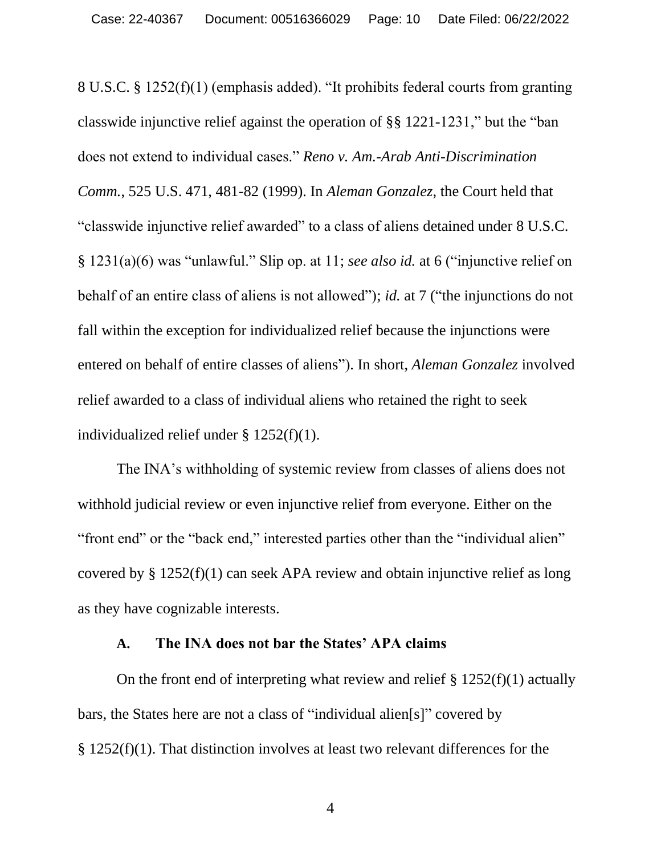8 U.S.C. § 1252(f)(1) (emphasis added). "It prohibits federal courts from granting classwide injunctive relief against the operation of §§ 1221-1231," but the "ban does not extend to individual cases." *Reno v. Am.-Arab Anti-Discrimination Comm.*, 525 U.S. 471, 481-82 (1999). In *Aleman Gonzalez*, the Court held that "classwide injunctive relief awarded" to a class of aliens detained under 8 U.S.C. § 1231(a)(6) was "unlawful." Slip op. at 11; *see also id.* at 6 ("injunctive relief on behalf of an entire class of aliens is not allowed"); *id.* at 7 ("the injunctions do not fall within the exception for individualized relief because the injunctions were entered on behalf of entire classes of aliens"). In short, *Aleman Gonzalez* involved relief awarded to a class of individual aliens who retained the right to seek individualized relief under § 1252(f)(1).

The INA's withholding of systemic review from classes of aliens does not withhold judicial review or even injunctive relief from everyone. Either on the "front end" or the "back end," interested parties other than the "individual alien" covered by § 1252(f)(1) can seek APA review and obtain injunctive relief as long as they have cognizable interests.

#### **A. The INA does not bar the States' APA claims**

On the front end of interpreting what review and relief  $\S 1252(f)(1)$  actually bars, the States here are not a class of "individual alien[s]" covered by § 1252(f)(1). That distinction involves at least two relevant differences for the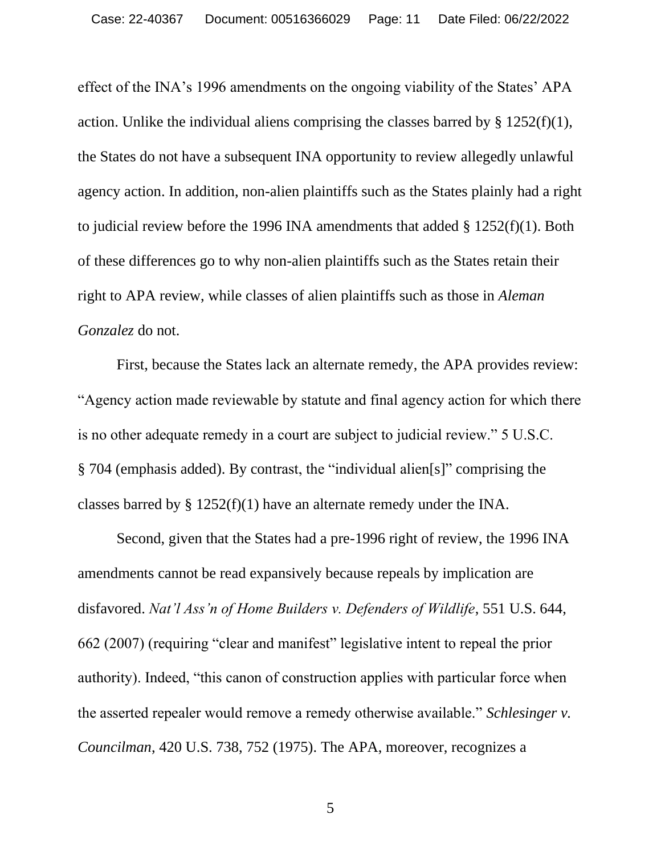effect of the INA's 1996 amendments on the ongoing viability of the States' APA action. Unlike the individual aliens comprising the classes barred by  $\S 1252(f)(1)$ , the States do not have a subsequent INA opportunity to review allegedly unlawful agency action. In addition, non-alien plaintiffs such as the States plainly had a right to judicial review before the 1996 INA amendments that added § 1252(f)(1). Both of these differences go to why non-alien plaintiffs such as the States retain their right to APA review, while classes of alien plaintiffs such as those in *Aleman Gonzalez* do not.

First, because the States lack an alternate remedy, the APA provides review: "Agency action made reviewable by statute and final agency action for which there is no other adequate remedy in a court are subject to judicial review." 5 U.S.C. § 704 (emphasis added). By contrast, the "individual alien[s]" comprising the classes barred by § 1252(f)(1) have an alternate remedy under the INA.

Second, given that the States had a pre-1996 right of review, the 1996 INA amendments cannot be read expansively because repeals by implication are disfavored. *Nat'l Ass'n of Home Builders v. Defenders of Wildlife*, 551 U.S. 644, 662 (2007) (requiring "clear and manifest" legislative intent to repeal the prior authority). Indeed, "this canon of construction applies with particular force when the asserted repealer would remove a remedy otherwise available." *Schlesinger v. Councilman*, 420 U.S. 738, 752 (1975). The APA, moreover, recognizes a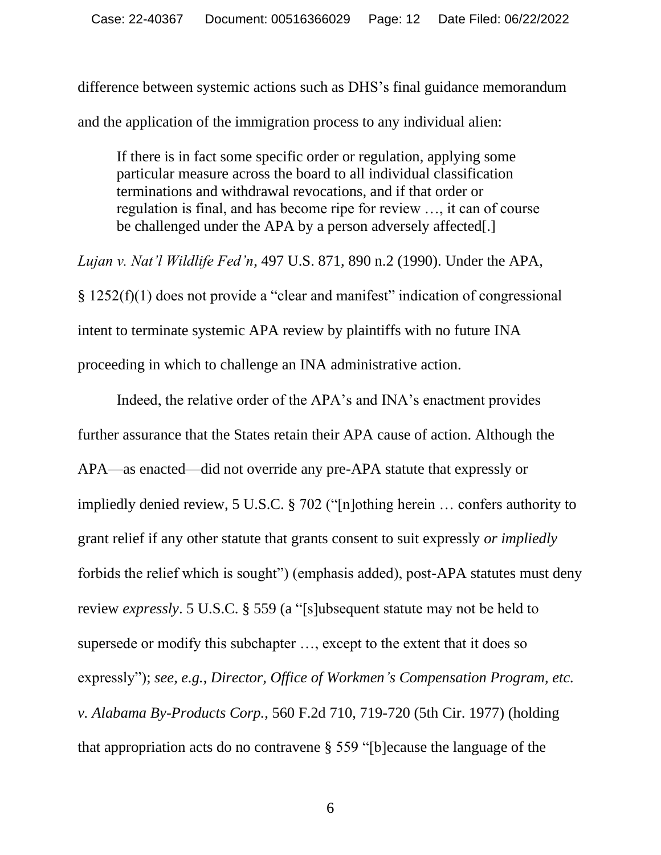difference between systemic actions such as DHS's final guidance memorandum and the application of the immigration process to any individual alien:

If there is in fact some specific order or regulation, applying some particular measure across the board to all individual classification terminations and withdrawal revocations, and if that order or regulation is final, and has become ripe for review …, it can of course be challenged under the APA by a person adversely affected.

*Lujan v. Nat'l Wildlife Fed'n*, 497 U.S. 871, 890 n.2 (1990). Under the APA, § 1252(f)(1) does not provide a "clear and manifest" indication of congressional intent to terminate systemic APA review by plaintiffs with no future INA proceeding in which to challenge an INA administrative action.

Indeed, the relative order of the APA's and INA's enactment provides further assurance that the States retain their APA cause of action. Although the APA—as enacted—did not override any pre-APA statute that expressly or impliedly denied review, 5 U.S.C. § 702 ("[n]othing herein … confers authority to grant relief if any other statute that grants consent to suit expressly *or impliedly* forbids the relief which is sought") (emphasis added), post-APA statutes must deny review *expressly*. 5 U.S.C. § 559 (a "[s]ubsequent statute may not be held to supersede or modify this subchapter …, except to the extent that it does so expressly"); *see*, *e.g.*, *Director, Office of Workmen's Compensation Program, etc. v. Alabama By-Products Corp.*, 560 F.2d 710, 719-720 (5th Cir. 1977) (holding that appropriation acts do no contravene § 559 "[b]ecause the language of the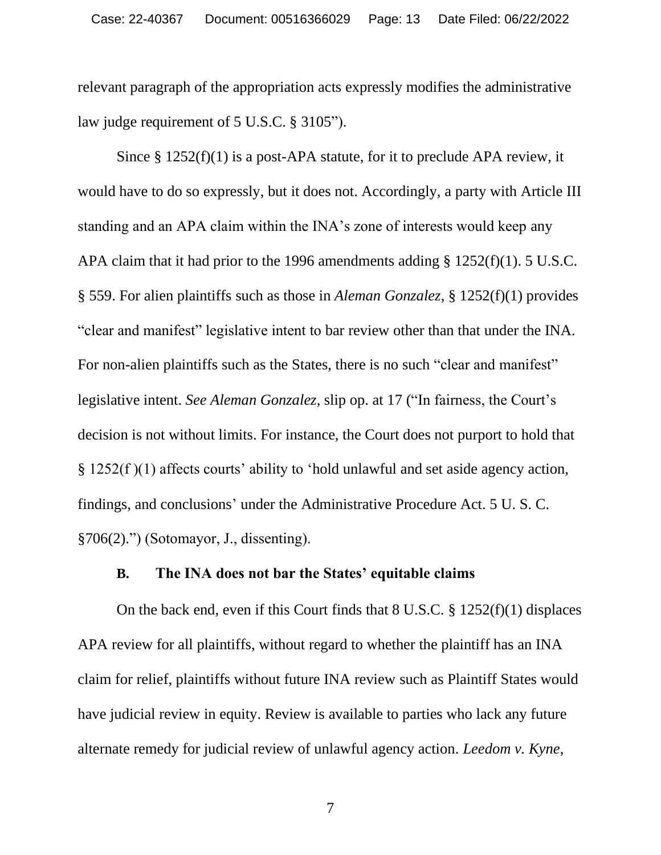relevant paragraph of the appropriation acts expressly modifies the administrative law judge requirement of 5 U.S.C. § 3105").

Since § 1252(f)(1) is a post-APA statute, for it to preclude APA review, it would have to do so expressly, but it does not. Accordingly, a party with Article III standing and an APA claim within the INA's zone of interests would keep any APA claim that it had prior to the 1996 amendments adding § 1252(f)(1). 5 U.S.C. § 559. For alien plaintiffs such as those in *Aleman Gonzalez*, § 1252(f)(1) provides "clear and manifest" legislative intent to bar review other than that under the INA. For non-alien plaintiffs such as the States, there is no such "clear and manifest" legislative intent. *See Aleman Gonzalez*, slip op. at 17 ("In fairness, the Court's decision is not without limits. For instance, the Court does not purport to hold that § 1252(f )(1) affects courts' ability to 'hold unlawful and set aside agency action, findings, and conclusions' under the Administrative Procedure Act. 5 U. S. C. §706(2).") (Sotomayor, J., dissenting).

### **B. The INA does not bar the States' equitable claims**

On the back end, even if this Court finds that 8 U.S.C. § 1252(f)(1) displaces APA review for all plaintiffs, without regard to whether the plaintiff has an INA claim for relief, plaintiffs without future INA review such as Plaintiff States would have judicial review in equity. Review is available to parties who lack any future alternate remedy for judicial review of unlawful agency action. *Leedom v. Kyne*,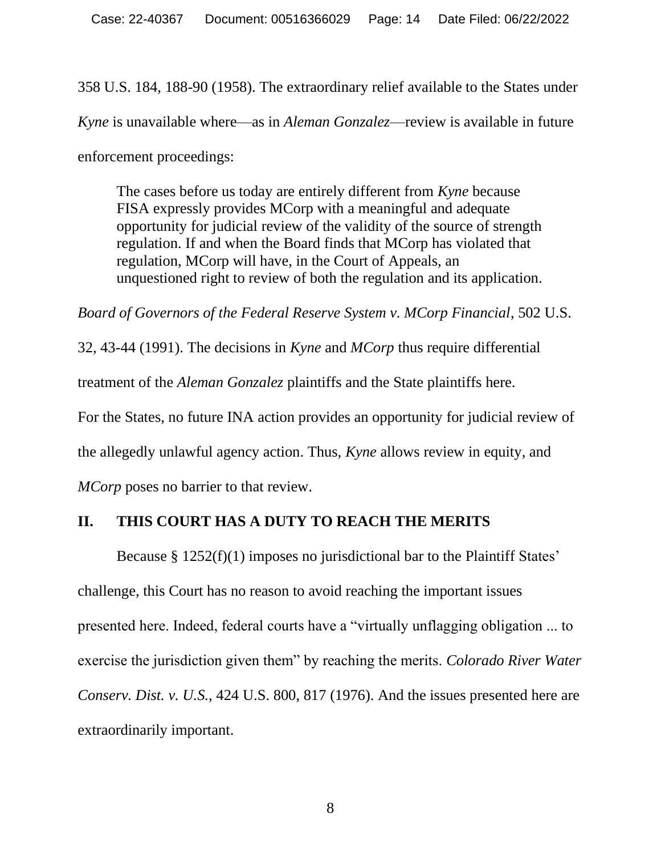358 U.S. 184, 188-90 (1958). The extraordinary relief available to the States under *Kyne* is unavailable where—as in *Aleman Gonzalez*—review is available in future enforcement proceedings:

The cases before us today are entirely different from *Kyne* because FISA expressly provides MCorp with a meaningful and adequate opportunity for judicial review of the validity of the source of strength regulation. If and when the Board finds that MCorp has violated that regulation, MCorp will have, in the Court of Appeals, an unquestioned right to review of both the regulation and its application.

*Board of Governors of the Federal Reserve System v. MCorp Financial*, 502 U.S.

32, 43-44 (1991). The decisions in *Kyne* and *MCorp* thus require differential treatment of the *Aleman Gonzalez* plaintiffs and the State plaintiffs here. For the States, no future INA action provides an opportunity for judicial review of the allegedly unlawful agency action. Thus, *Kyne* allows review in equity, and *MCorp* poses no barrier to that review.

## **II. THIS COURT HAS A DUTY TO REACH THE MERITS**

Because § 1252(f)(1) imposes no jurisdictional bar to the Plaintiff States' challenge, this Court has no reason to avoid reaching the important issues presented here. Indeed, federal courts have a "virtually unflagging obligation ... to exercise the jurisdiction given them" by reaching the merits. *Colorado River Water Conserv. Dist. v. U.S.*, 424 U.S. 800, 817 (1976). And the issues presented here are extraordinarily important.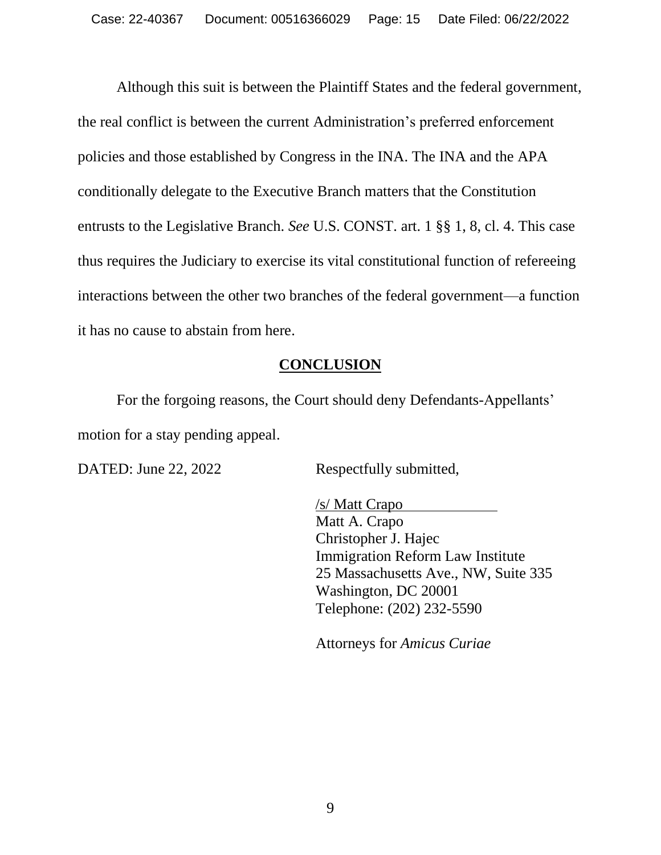Although this suit is between the Plaintiff States and the federal government, the real conflict is between the current Administration's preferred enforcement policies and those established by Congress in the INA. The INA and the APA conditionally delegate to the Executive Branch matters that the Constitution entrusts to the Legislative Branch. *See* U.S. CONST. art. 1 §§ 1, 8, cl. 4. This case thus requires the Judiciary to exercise its vital constitutional function of refereeing interactions between the other two branches of the federal government—a function it has no cause to abstain from here.

## **CONCLUSION**

For the forgoing reasons, the Court should deny Defendants-Appellants' motion for a stay pending appeal.

DATED: June 22, 2022 Respectfully submitted,

/s/ Matt Crapo Matt A. Crapo Christopher J. Hajec Immigration Reform Law Institute 25 Massachusetts Ave., NW, Suite 335 Washington, DC 20001 Telephone: (202) 232-5590

Attorneys for *Amicus Curiae*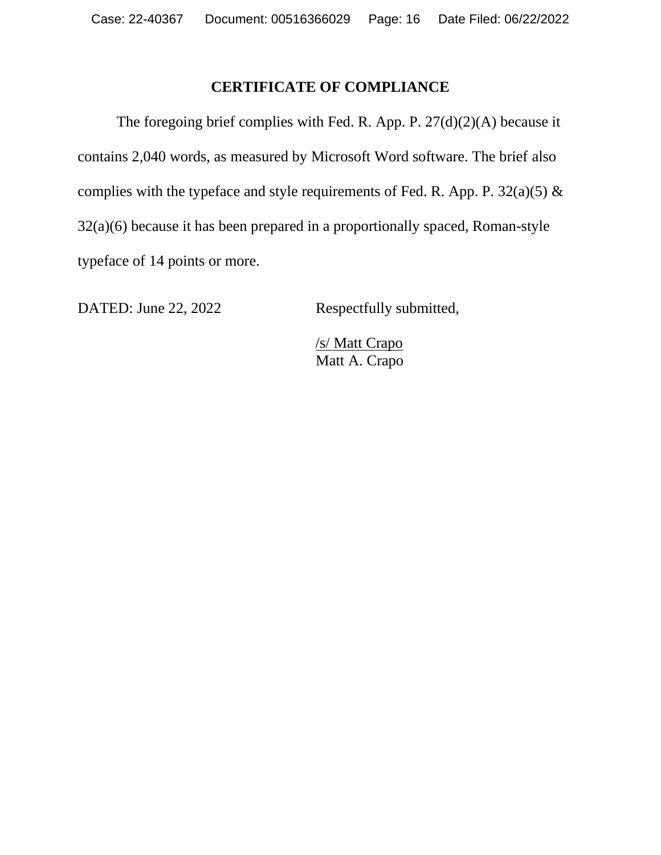### **CERTIFICATE OF COMPLIANCE**

The foregoing brief complies with Fed. R. App. P. 27(d)(2)(A) because it contains 2,040 words, as measured by Microsoft Word software. The brief also complies with the typeface and style requirements of Fed. R. App. P.  $32(a)(5)$  & 32(a)(6) because it has been prepared in a proportionally spaced, Roman-style typeface of 14 points or more.

DATED: June 22, 2022 Respectfully submitted,

/s/ Matt Crapo Matt A. Crapo